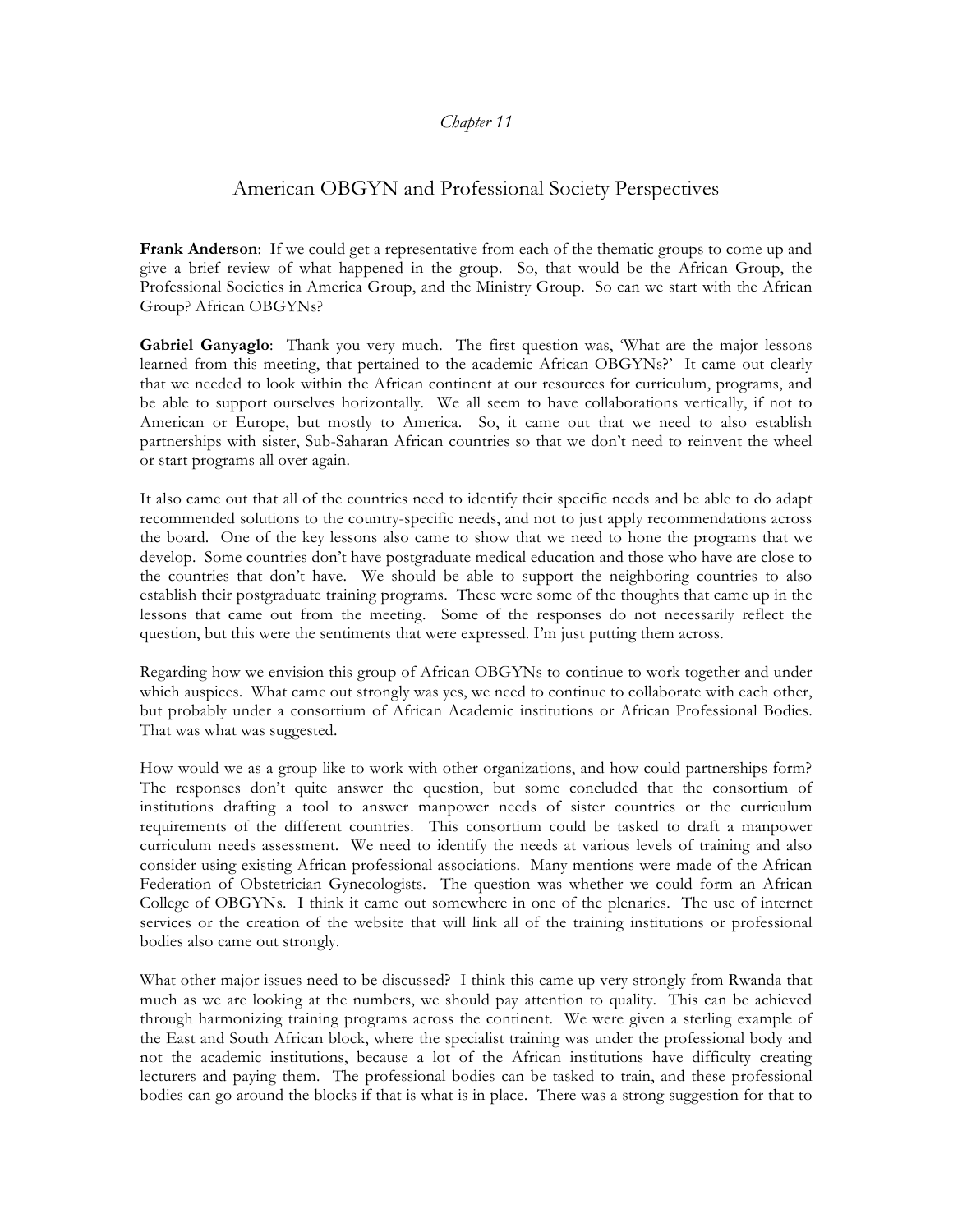## *Chapter 11*

## American OBGYN and Professional Society Perspectives

**Frank Anderson**: If we could get a representative from each of the thematic groups to come up and give a brief review of what happened in the group. So, that would be the African Group, the Professional Societies in America Group, and the Ministry Group. So can we start with the African Group? African OBGYNs?

**Gabriel Ganyaglo**: Thank you very much. The first question was, 'What are the major lessons learned from this meeting, that pertained to the academic African OBGYNs?' It came out clearly that we needed to look within the African continent at our resources for curriculum, programs, and be able to support ourselves horizontally. We all seem to have collaborations vertically, if not to American or Europe, but mostly to America. So, it came out that we need to also establish partnerships with sister, Sub-Saharan African countries so that we don't need to reinvent the wheel or start programs all over again.

It also came out that all of the countries need to identify their specific needs and be able to do adapt recommended solutions to the country-specific needs, and not to just apply recommendations across the board. One of the key lessons also came to show that we need to hone the programs that we develop. Some countries don't have postgraduate medical education and those who have are close to the countries that don't have. We should be able to support the neighboring countries to also establish their postgraduate training programs. These were some of the thoughts that came up in the lessons that came out from the meeting. Some of the responses do not necessarily reflect the question, but this were the sentiments that were expressed. I'm just putting them across.

Regarding how we envision this group of African OBGYNs to continue to work together and under which auspices. What came out strongly was yes, we need to continue to collaborate with each other, but probably under a consortium of African Academic institutions or African Professional Bodies. That was what was suggested.

How would we as a group like to work with other organizations, and how could partnerships form? The responses don't quite answer the question, but some concluded that the consortium of institutions drafting a tool to answer manpower needs of sister countries or the curriculum requirements of the different countries. This consortium could be tasked to draft a manpower curriculum needs assessment. We need to identify the needs at various levels of training and also consider using existing African professional associations. Many mentions were made of the African Federation of Obstetrician Gynecologists. The question was whether we could form an African College of OBGYNs. I think it came out somewhere in one of the plenaries. The use of internet services or the creation of the website that will link all of the training institutions or professional bodies also came out strongly.

What other major issues need to be discussed? I think this came up very strongly from Rwanda that much as we are looking at the numbers, we should pay attention to quality. This can be achieved through harmonizing training programs across the continent. We were given a sterling example of the East and South African block, where the specialist training was under the professional body and not the academic institutions, because a lot of the African institutions have difficulty creating lecturers and paying them. The professional bodies can be tasked to train, and these professional bodies can go around the blocks if that is what is in place. There was a strong suggestion for that to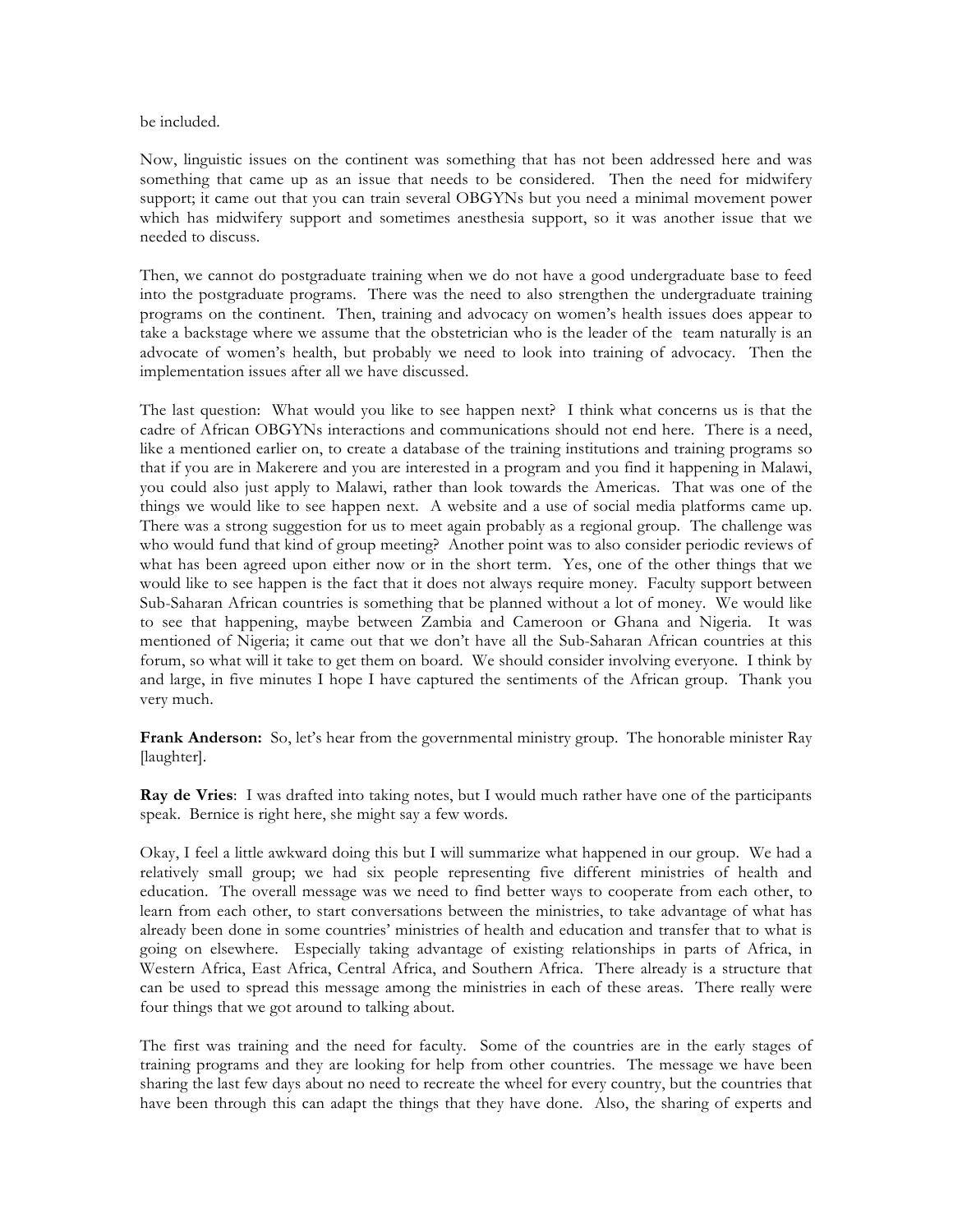be included.

Now, linguistic issues on the continent was something that has not been addressed here and was something that came up as an issue that needs to be considered. Then the need for midwifery support; it came out that you can train several OBGYNs but you need a minimal movement power which has midwifery support and sometimes anesthesia support, so it was another issue that we needed to discuss.

Then, we cannot do postgraduate training when we do not have a good undergraduate base to feed into the postgraduate programs. There was the need to also strengthen the undergraduate training programs on the continent. Then, training and advocacy on women's health issues does appear to take a backstage where we assume that the obstetrician who is the leader of the team naturally is an advocate of women's health, but probably we need to look into training of advocacy. Then the implementation issues after all we have discussed.

The last question: What would you like to see happen next? I think what concerns us is that the cadre of African OBGYNs interactions and communications should not end here. There is a need, like a mentioned earlier on, to create a database of the training institutions and training programs so that if you are in Makerere and you are interested in a program and you find it happening in Malawi, you could also just apply to Malawi, rather than look towards the Americas. That was one of the things we would like to see happen next. A website and a use of social media platforms came up. There was a strong suggestion for us to meet again probably as a regional group. The challenge was who would fund that kind of group meeting? Another point was to also consider periodic reviews of what has been agreed upon either now or in the short term. Yes, one of the other things that we would like to see happen is the fact that it does not always require money. Faculty support between Sub-Saharan African countries is something that be planned without a lot of money. We would like to see that happening, maybe between Zambia and Cameroon or Ghana and Nigeria. It was mentioned of Nigeria; it came out that we don't have all the Sub-Saharan African countries at this forum, so what will it take to get them on board. We should consider involving everyone. I think by and large, in five minutes I hope I have captured the sentiments of the African group. Thank you very much.

**Frank Anderson:** So, let's hear from the governmental ministry group. The honorable minister Ray [laughter].

**Ray de Vries**: I was drafted into taking notes, but I would much rather have one of the participants speak. Bernice is right here, she might say a few words.

Okay, I feel a little awkward doing this but I will summarize what happened in our group. We had a relatively small group; we had six people representing five different ministries of health and education. The overall message was we need to find better ways to cooperate from each other, to learn from each other, to start conversations between the ministries, to take advantage of what has already been done in some countries' ministries of health and education and transfer that to what is going on elsewhere. Especially taking advantage of existing relationships in parts of Africa, in Western Africa, East Africa, Central Africa, and Southern Africa. There already is a structure that can be used to spread this message among the ministries in each of these areas. There really were four things that we got around to talking about.

The first was training and the need for faculty. Some of the countries are in the early stages of training programs and they are looking for help from other countries. The message we have been sharing the last few days about no need to recreate the wheel for every country, but the countries that have been through this can adapt the things that they have done. Also, the sharing of experts and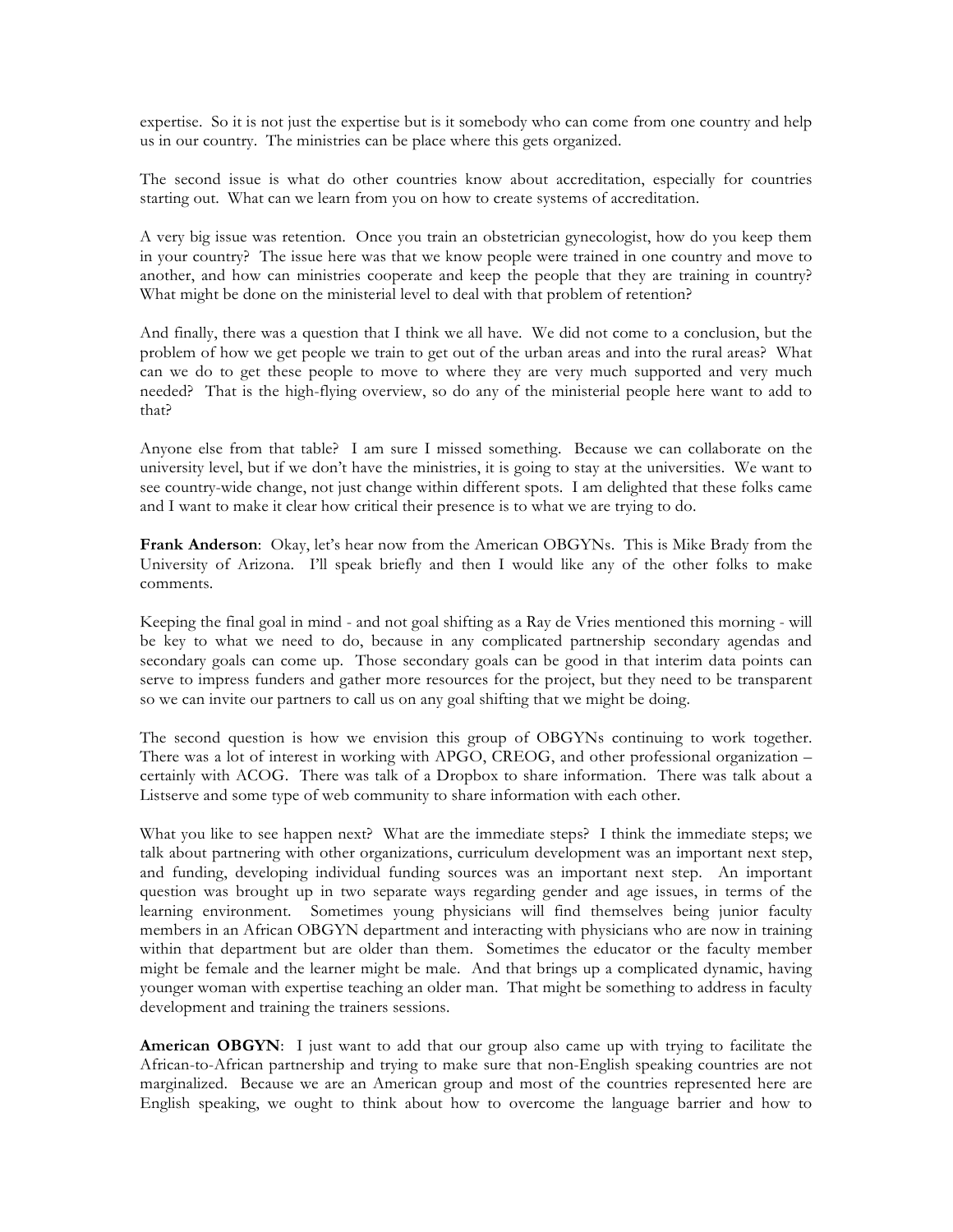expertise. So it is not just the expertise but is it somebody who can come from one country and help us in our country. The ministries can be place where this gets organized.

The second issue is what do other countries know about accreditation, especially for countries starting out. What can we learn from you on how to create systems of accreditation.

A very big issue was retention. Once you train an obstetrician gynecologist, how do you keep them in your country? The issue here was that we know people were trained in one country and move to another, and how can ministries cooperate and keep the people that they are training in country? What might be done on the ministerial level to deal with that problem of retention?

And finally, there was a question that I think we all have. We did not come to a conclusion, but the problem of how we get people we train to get out of the urban areas and into the rural areas? What can we do to get these people to move to where they are very much supported and very much needed? That is the high-flying overview, so do any of the ministerial people here want to add to that?

Anyone else from that table? I am sure I missed something. Because we can collaborate on the university level, but if we don't have the ministries, it is going to stay at the universities. We want to see country-wide change, not just change within different spots. I am delighted that these folks came and I want to make it clear how critical their presence is to what we are trying to do.

**Frank Anderson**: Okay, let's hear now from the American OBGYNs. This is Mike Brady from the University of Arizona. I'll speak briefly and then I would like any of the other folks to make comments.

Keeping the final goal in mind - and not goal shifting as a Ray de Vries mentioned this morning - will be key to what we need to do, because in any complicated partnership secondary agendas and secondary goals can come up. Those secondary goals can be good in that interim data points can serve to impress funders and gather more resources for the project, but they need to be transparent so we can invite our partners to call us on any goal shifting that we might be doing.

The second question is how we envision this group of OBGYNs continuing to work together. There was a lot of interest in working with APGO, CREOG, and other professional organization – certainly with ACOG. There was talk of a Dropbox to share information. There was talk about a Listserve and some type of web community to share information with each other.

What you like to see happen next? What are the immediate steps? I think the immediate steps; we talk about partnering with other organizations, curriculum development was an important next step, and funding, developing individual funding sources was an important next step. An important question was brought up in two separate ways regarding gender and age issues, in terms of the learning environment. Sometimes young physicians will find themselves being junior faculty members in an African OBGYN department and interacting with physicians who are now in training within that department but are older than them. Sometimes the educator or the faculty member might be female and the learner might be male. And that brings up a complicated dynamic, having younger woman with expertise teaching an older man. That might be something to address in faculty development and training the trainers sessions.

**American OBGYN:** I just want to add that our group also came up with trying to facilitate the African-to-African partnership and trying to make sure that non-English speaking countries are not marginalized. Because we are an American group and most of the countries represented here are English speaking, we ought to think about how to overcome the language barrier and how to